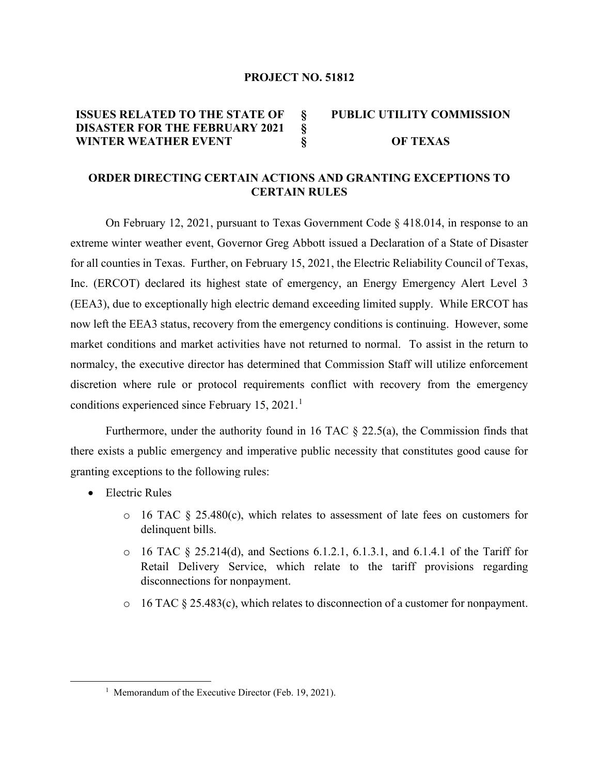#### **PROJECT NO. 51812**

#### **ISSUES RELATED TO THE STATE OF DISASTER FOR THE FEBRUARY 2021 WINTER WEATHER EVENT § § § PUBLIC UTILITY COMMISSION OF TEXAS**

# **ORDER DIRECTING CERTAIN ACTIONS AND GRANTING EXCEPTIONS TO CERTAIN RULES**

On February 12, 2021, pursuant to Texas Government Code § 418.014, in response to an extreme winter weather event, Governor Greg Abbott issued a Declaration of a State of Disaster for all counties in Texas. Further, on February 15, 2021, the Electric Reliability Council of Texas, Inc. (ERCOT) declared its highest state of emergency, an Energy Emergency Alert Level 3 (EEA3), due to exceptionally high electric demand exceeding limited supply. While ERCOT has now left the EEA3 status, recovery from the emergency conditions is continuing. However, some market conditions and market activities have not returned to normal. To assist in the return to normalcy, the executive director has determined that Commission Staff will utilize enforcement discretion where rule or protocol requirements conflict with recovery from the emergency conditions experienced since February [1](#page-0-0)5,  $2021$ .<sup>1</sup>

Furthermore, under the authority found in 16 TAC  $\S$  22.5(a), the Commission finds that there exists a public emergency and imperative public necessity that constitutes good cause for granting exceptions to the following rules:

- Electric Rules
	- o 16 TAC § 25.480(c), which relates to assessment of late fees on customers for delinquent bills.
	- $\circ$  16 TAC § 25.214(d), and Sections 6.1.2.1, 6.1.3.1, and 6.1.4.1 of the Tariff for Retail Delivery Service, which relate to the tariff provisions regarding disconnections for nonpayment.
	- $\circ$  16 TAC § 25.483(c), which relates to disconnection of a customer for nonpayment.

<span id="page-0-0"></span><sup>&</sup>lt;sup>1</sup> Memorandum of the Executive Director (Feb. 19, 2021).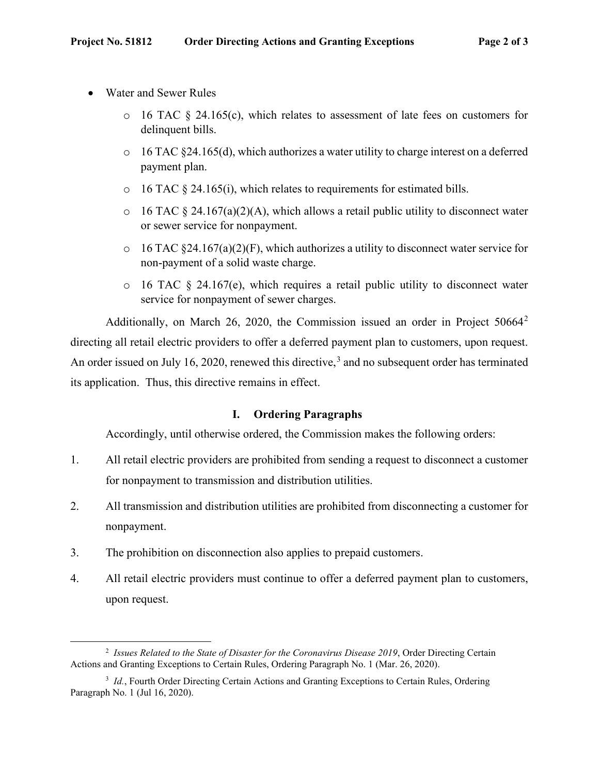- Water and Sewer Rules
	- $\circ$  16 TAC § 24.165(c), which relates to assessment of late fees on customers for delinquent bills.
	- $\circ$  16 TAC §24.165(d), which authorizes a water utility to charge interest on a deferred payment plan.
	- $\circ$  16 TAC § 24.165(i), which relates to requirements for estimated bills.
	- $\circ$  16 TAC § 24.167(a)(2)(A), which allows a retail public utility to disconnect water or sewer service for nonpayment.
	- $\circ$  16 TAC §24.167(a)(2)(F), which authorizes a utility to disconnect water service for non-payment of a solid waste charge.
	- o 16 TAC § 24.167(e), which requires a retail public utility to disconnect water service for nonpayment of sewer charges.

Additionally, on March [2](#page-1-0)6, 2020, the Commission issued an order in Project 50664<sup>2</sup> directing all retail electric providers to offer a deferred payment plan to customers, upon request. An order issued on July 16, 2020, renewed this directive,<sup>[3](#page-1-1)</sup> and no subsequent order has terminated its application. Thus, this directive remains in effect.

# **I. Ordering Paragraphs**

Accordingly, until otherwise ordered, the Commission makes the following orders:

- 1. All retail electric providers are prohibited from sending a request to disconnect a customer for nonpayment to transmission and distribution utilities.
- 2. All transmission and distribution utilities are prohibited from disconnecting a customer for nonpayment.
- 3. The prohibition on disconnection also applies to prepaid customers.
- 4. All retail electric providers must continue to offer a deferred payment plan to customers, upon request.

<span id="page-1-0"></span><sup>2</sup> *Issues Related to the State of Disaster for the Coronavirus Disease 2019*, Order Directing Certain Actions and Granting Exceptions to Certain Rules, Ordering Paragraph No. 1 (Mar. 26, 2020).

<span id="page-1-1"></span><sup>&</sup>lt;sup>3</sup> Id., Fourth Order Directing Certain Actions and Granting Exceptions to Certain Rules, Ordering Paragraph No. 1 (Jul 16, 2020).